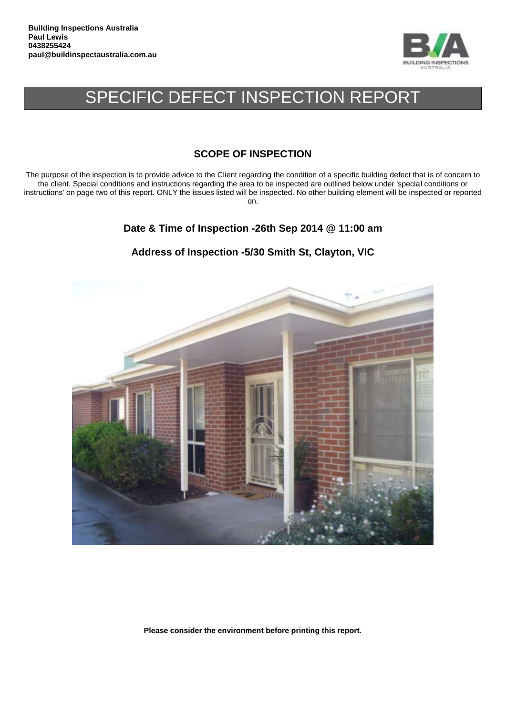

# SPECIFIC DEFECT INSPECTION REPORT

# **SCOPE OF INSPECTION**

The purpose of the inspection is to provide advice to the Client regarding the condition of a specific building defect that is of concern to the client. Special conditions and instructions regarding the area to be inspected are outlined below under 'special conditions or instructions' on page two of this report. ONLY the issues listed will be inspected. No other building element will be inspected or reported on.

**Date & Time of Inspection -26th Sep 2014 @ 11:00 am**

# **Address of Inspection -5/30 Smith St, Clayton, VIC**



**Please consider the environment before printing this report.**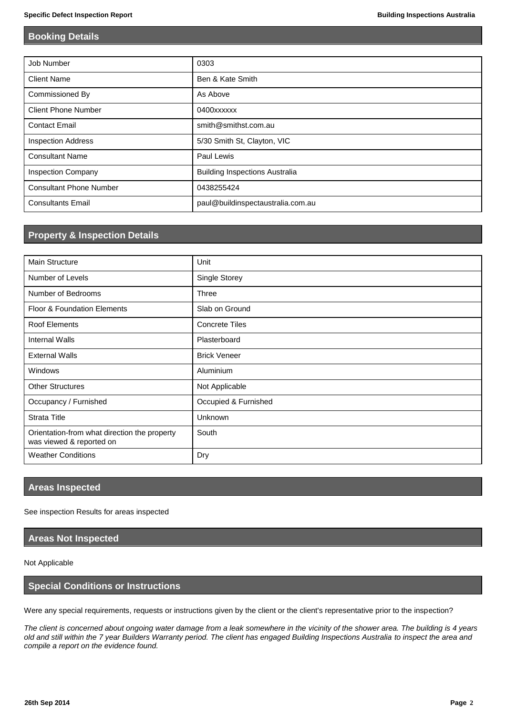### **Booking Details**

| Job Number                     | 0303                                  |
|--------------------------------|---------------------------------------|
| <b>Client Name</b>             | Ben & Kate Smith                      |
| Commissioned By                | As Above                              |
| <b>Client Phone Number</b>     | 0400xxxxxx                            |
| <b>Contact Email</b>           | smith@smithst.com.au                  |
| <b>Inspection Address</b>      | 5/30 Smith St, Clayton, VIC           |
| <b>Consultant Name</b>         | Paul Lewis                            |
| <b>Inspection Company</b>      | <b>Building Inspections Australia</b> |
| <b>Consultant Phone Number</b> | 0438255424                            |
| <b>Consultants Email</b>       | paul@buildinspectaustralia.com.au     |

# **Property & Inspection Details**

| <b>Main Structure</b>                                                    | Unit                  |
|--------------------------------------------------------------------------|-----------------------|
| Number of Levels                                                         | Single Storey         |
| Number of Bedrooms                                                       | Three                 |
| <b>Floor &amp; Foundation Elements</b>                                   | Slab on Ground        |
| <b>Roof Elements</b>                                                     | <b>Concrete Tiles</b> |
| <b>Internal Walls</b>                                                    | Plasterboard          |
| <b>External Walls</b>                                                    | <b>Brick Veneer</b>   |
| Windows                                                                  | Aluminium             |
| <b>Other Structures</b>                                                  | Not Applicable        |
| Occupancy / Furnished                                                    | Occupied & Furnished  |
| <b>Strata Title</b>                                                      | <b>Unknown</b>        |
| Orientation-from what direction the property<br>was viewed & reported on | South                 |
| <b>Weather Conditions</b>                                                | Dry                   |

## **Areas Inspected**

See inspection Results for areas inspected

#### **Areas Not Inspected**

#### Not Applicable

#### **Special Conditions or Instructions**

Were any special requirements, requests or instructions given by the client or the client's representative prior to the inspection?

*The client is concerned about ongoing water damage from a leak somewhere in the vicinity of the shower area. The building is 4 years old and still within the 7 year Builders Warranty period. The client has engaged Building Inspections Australia to inspect the area and compile a report on the evidence found.*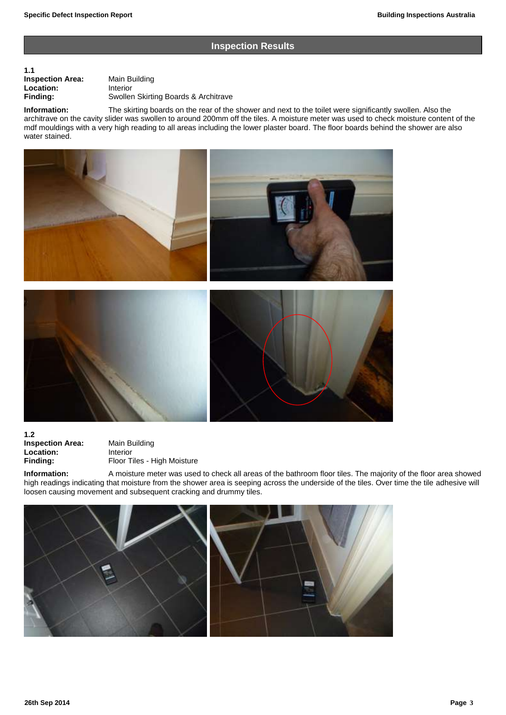#### **Inspection Results**

# **1.1 Inspection Area:** Main Building<br> **Location:** Interior **Location:**<br>Finding:

**Finding:** Swollen Skirting Boards & Architrave

**Information:** The skirting boards on the rear of the shower and next to the toilet were significantly swollen. Also the architrave on the cavity slider was swollen to around 200mm off the tiles. A moisture meter was used to check moisture content of the mdf mouldings with a very high reading to all areas including the lower plaster board. The floor boards behind the shower are also water stained.



**1.2 Inspection Area:** Main Building **Location:** Interior<br> **Finding:** Floor T

**Floor Tiles - High Moisture** 

**Information:** A moisture meter was used to check all areas of the bathroom floor tiles. The majority of the floor area showed high readings indicating that moisture from the shower area is seeping across the underside of the tiles. Over time the tile adhesive will loosen causing movement and subsequent cracking and drummy tiles.

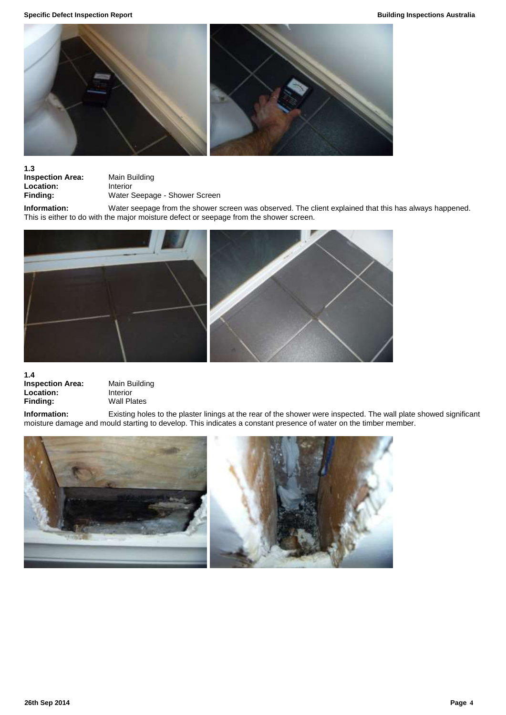

**1.3**

**Inspection Area:** Main Building<br> **Location:** Interior **Location:**<br>Finding:

**Finding:** Water Seepage - Shower Screen

**Information:** Water seepage from the shower screen was observed. The client explained that this has always happened. This is either to do with the major moisture defect or seepage from the shower screen.



**1.4**

**Inspection Area:** Main Building **Location:** Interior<br> **Finding:** Wall Pla

**Wall Plates** 

**Information:** Existing holes to the plaster linings at the rear of the shower were inspected. The wall plate showed significant moisture damage and mould starting to develop. This indicates a constant presence of water on the timber member.

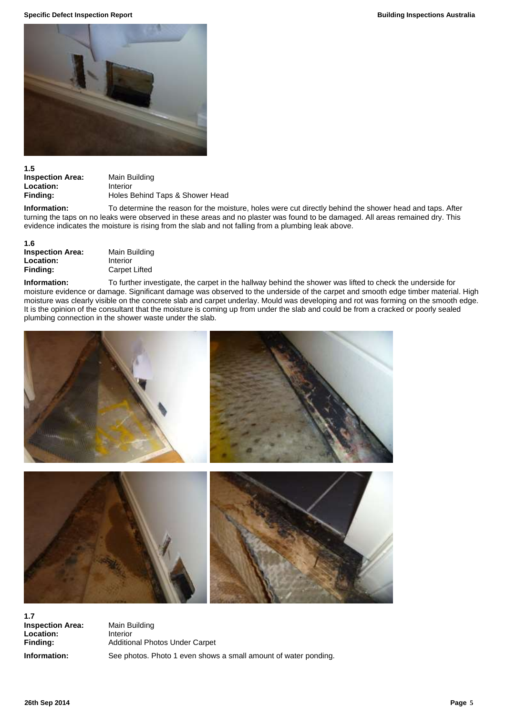**Specific Defect Inspection Report Building Inspections Australia**



#### **1.5**

**Inspection Area:** Main Building<br> **Location:** Interior Location:<br>Finding:

**Finding:** Holes Behind Taps & Shower Head

**Information:** To determine the reason for the moisture, holes were cut directly behind the shower head and taps. After turning the taps on no leaks were observed in these areas and no plaster was found to be damaged. All areas remained dry. This evidence indicates the moisture is rising from the slab and not falling from a plumbing leak above.

#### **1.6**

| <b>Inspection Area:</b> |  |
|-------------------------|--|
| Location:               |  |
| Finding:                |  |

**Main Building Location:** Interior **Carpet Lifted** 

**Information:** To further investigate, the carpet in the hallway behind the shower was lifted to check the underside for moisture evidence or damage. Significant damage was observed to the underside of the carpet and smooth edge timber material. High moisture was clearly visible on the concrete slab and carpet underlay. Mould was developing and rot was forming on the smooth edge. It is the opinion of the consultant that the moisture is coming up from under the slab and could be from a cracked or poorly sealed plumbing connection in the shower waste under the slab.



**1.7 Inspection Area:** Main Building **Location:** Interior

**Finding:** Additional Photos Under Carpet **Information:** See photos. Photo 1 even shows a small amount of water ponding.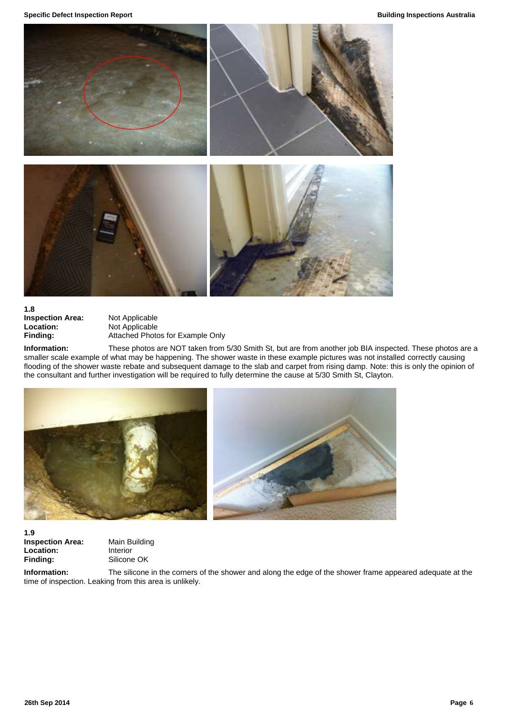**Specific Defect Inspection Report Building Inspections Australia**



**1.8 Inspection Area:** Not Applicable<br> **Location:** Not Applicable **Location:** Not Applicable<br> **Finding:** Attached Photo

**Finding:** Attached Photos for Example Only

**Information:** These photos are NOT taken from 5/30 Smith St, but are from another job BIA inspected. These photos are a smaller scale example of what may be happening. The shower waste in these example pictures was not installed correctly causing flooding of the shower waste rebate and subsequent damage to the slab and carpet from rising damp. Note: this is only the opinion of the consultant and further investigation will be required to fully determine the cause at 5/30 Smith St, Clayton.





**1.9 Inspection Area:** Main Building **Location:** Interior Finding: Silicone OK

**Information:** The silicone in the corners of the shower and along the edge of the shower frame appeared adequate at the time of inspection. Leaking from this area is unlikely.